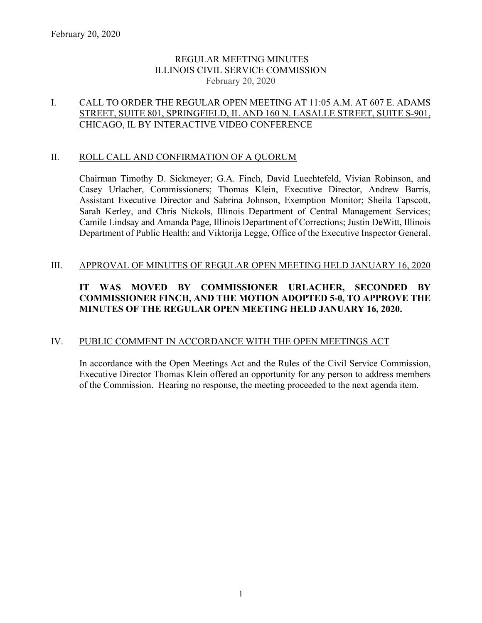# REGULAR MEETING MINUTES ILLINOIS CIVIL SERVICE COMMISSION February 20, 2020

# I. CALL TO ORDER THE REGULAR OPEN MEETING AT 11:05 A.M. AT 607 E. ADAMS STREET, SUITE 801, SPRINGFIELD, IL AND 160 N. LASALLE STREET, SUITE S-901, CHICAGO, IL BY INTERACTIVE VIDEO CONFERENCE

### II. ROLL CALL AND CONFIRMATION OF A QUORUM

Chairman Timothy D. Sickmeyer; G.A. Finch, David Luechtefeld, Vivian Robinson, and Casey Urlacher, Commissioners; Thomas Klein, Executive Director, Andrew Barris, Assistant Executive Director and Sabrina Johnson, Exemption Monitor; Sheila Tapscott, Sarah Kerley, and Chris Nickols, Illinois Department of Central Management Services; Camile Lindsay and Amanda Page, Illinois Department of Corrections; Justin DeWitt, Illinois Department of Public Health; and Viktorija Legge, Office of the Executive Inspector General.

### III. APPROVAL OF MINUTES OF REGULAR OPEN MEETING HELD JANUARY 16, 2020

# **IT WAS MOVED BY COMMISSIONER URLACHER, SECONDED BY COMMISSIONER FINCH, AND THE MOTION ADOPTED 5-0, TO APPROVE THE MINUTES OF THE REGULAR OPEN MEETING HELD JANUARY 16, 2020.**

# IV. PUBLIC COMMENT IN ACCORDANCE WITH THE OPEN MEETINGS ACT

In accordance with the Open Meetings Act and the Rules of the Civil Service Commission, Executive Director Thomas Klein offered an opportunity for any person to address members of the Commission. Hearing no response, the meeting proceeded to the next agenda item.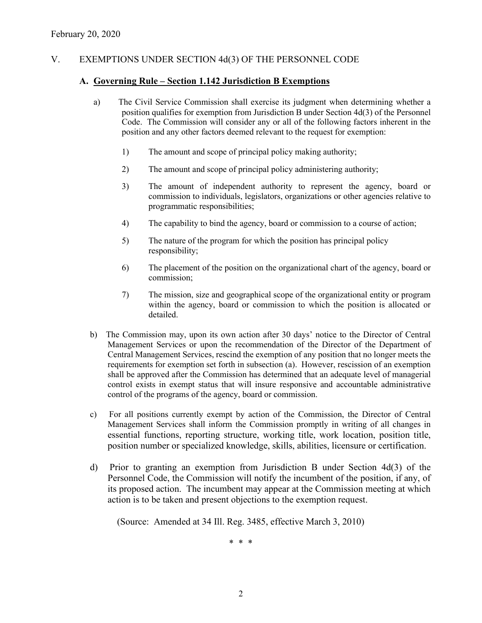## V. EXEMPTIONS UNDER SECTION 4d(3) OF THE PERSONNEL CODE

#### **A. Governing Rule – Section 1.142 Jurisdiction B Exemptions**

- a) The Civil Service Commission shall exercise its judgment when determining whether a position qualifies for exemption from Jurisdiction B under Section 4d(3) of the Personnel Code. The Commission will consider any or all of the following factors inherent in the position and any other factors deemed relevant to the request for exemption:
	- 1) The amount and scope of principal policy making authority;
	- 2) The amount and scope of principal policy administering authority;
	- 3) The amount of independent authority to represent the agency, board or commission to individuals, legislators, organizations or other agencies relative to programmatic responsibilities;
	- 4) The capability to bind the agency, board or commission to a course of action;
	- 5) The nature of the program for which the position has principal policy responsibility;
	- 6) The placement of the position on the organizational chart of the agency, board or commission;
	- 7) The mission, size and geographical scope of the organizational entity or program within the agency, board or commission to which the position is allocated or detailed.
- b) The Commission may, upon its own action after 30 days' notice to the Director of Central Management Services or upon the recommendation of the Director of the Department of Central Management Services, rescind the exemption of any position that no longer meets the requirements for exemption set forth in subsection (a). However, rescission of an exemption shall be approved after the Commission has determined that an adequate level of managerial control exists in exempt status that will insure responsive and accountable administrative control of the programs of the agency, board or commission.
- c) For all positions currently exempt by action of the Commission, the Director of Central Management Services shall inform the Commission promptly in writing of all changes in essential functions, reporting structure, working title, work location, position title, position number or specialized knowledge, skills, abilities, licensure or certification.
- d) Prior to granting an exemption from Jurisdiction B under Section 4d(3) of the Personnel Code, the Commission will notify the incumbent of the position, if any, of its proposed action. The incumbent may appear at the Commission meeting at which action is to be taken and present objections to the exemption request.

(Source: Amended at 34 Ill. Reg. 3485, effective March 3, 2010)

\* \* \*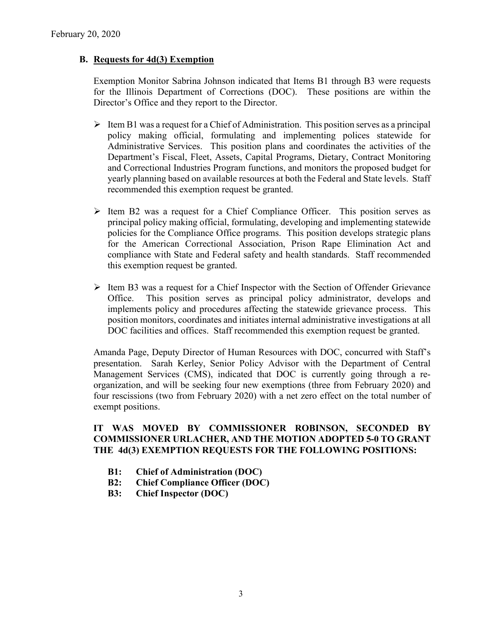## **B. Requests for 4d(3) Exemption**

Exemption Monitor Sabrina Johnson indicated that Items B1 through B3 were requests for the Illinois Department of Corrections (DOC). These positions are within the Director's Office and they report to the Director.

- $\triangleright$  Item B1 was a request for a Chief of Administration. This position serves as a principal policy making official, formulating and implementing polices statewide for Administrative Services. This position plans and coordinates the activities of the Department's Fiscal, Fleet, Assets, Capital Programs, Dietary, Contract Monitoring and Correctional Industries Program functions, and monitors the proposed budget for yearly planning based on available resources at both the Federal and State levels. Staff recommended this exemption request be granted.
- $\triangleright$  Item B2 was a request for a Chief Compliance Officer. This position serves as principal policy making official, formulating, developing and implementing statewide policies for the Compliance Office programs. This position develops strategic plans for the American Correctional Association, Prison Rape Elimination Act and compliance with State and Federal safety and health standards. Staff recommended this exemption request be granted.
- $\triangleright$  Item B3 was a request for a Chief Inspector with the Section of Offender Grievance Office. This position serves as principal policy administrator, develops and implements policy and procedures affecting the statewide grievance process. This position monitors, coordinates and initiates internal administrative investigations at all DOC facilities and offices. Staff recommended this exemption request be granted.

Amanda Page, Deputy Director of Human Resources with DOC, concurred with Staff's presentation. Sarah Kerley, Senior Policy Advisor with the Department of Central Management Services (CMS), indicated that DOC is currently going through a reorganization, and will be seeking four new exemptions (three from February 2020) and four rescissions (two from February 2020) with a net zero effect on the total number of exempt positions.

# **IT WAS MOVED BY COMMISSIONER ROBINSON, SECONDED BY COMMISSIONER URLACHER, AND THE MOTION ADOPTED 5-0 TO GRANT THE 4d(3) EXEMPTION REQUESTS FOR THE FOLLOWING POSITIONS:**

- **B1: Chief of Administration (DOC)**
- **B2: Chief Compliance Officer (DOC)**
- **B3: Chief Inspector (DOC)**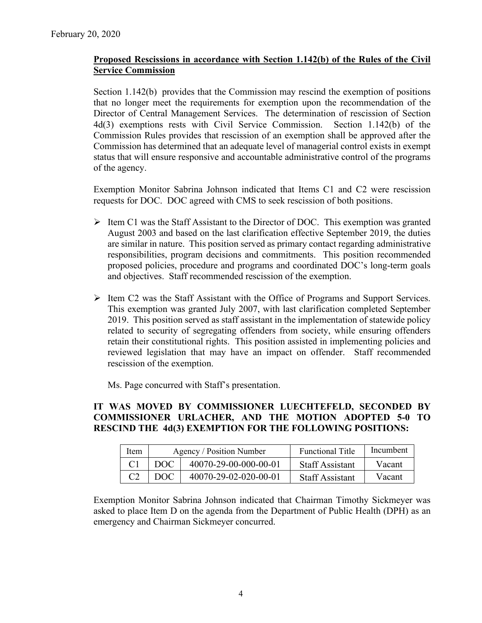# **Proposed Rescissions in accordance with Section 1.142(b) of the Rules of the Civil Service Commission**

Section 1.142(b) provides that the Commission may rescind the exemption of positions that no longer meet the requirements for exemption upon the recommendation of the Director of Central Management Services. The determination of rescission of Section 4d(3) exemptions rests with Civil Service Commission. Section 1.142(b) of the Commission Rules provides that rescission of an exemption shall be approved after the Commission has determined that an adequate level of managerial control exists in exempt status that will ensure responsive and accountable administrative control of the programs of the agency.

Exemption Monitor Sabrina Johnson indicated that Items C1 and C2 were rescission requests for DOC. DOC agreed with CMS to seek rescission of both positions.

- $\triangleright$  Item C1 was the Staff Assistant to the Director of DOC. This exemption was granted August 2003 and based on the last clarification effective September 2019, the duties are similar in nature. This position served as primary contact regarding administrative responsibilities, program decisions and commitments. This position recommended proposed policies, procedure and programs and coordinated DOC's long-term goals and objectives. Staff recommended rescission of the exemption.
- $\triangleright$  Item C2 was the Staff Assistant with the Office of Programs and Support Services. This exemption was granted July 2007, with last clarification completed September 2019. This position served as staff assistant in the implementation of statewide policy related to security of segregating offenders from society, while ensuring offenders retain their constitutional rights. This position assisted in implementing policies and reviewed legislation that may have an impact on offender. Staff recommended rescission of the exemption.

Ms. Page concurred with Staff's presentation.

## **IT WAS MOVED BY COMMISSIONER LUECHTEFELD, SECONDED BY COMMISSIONER URLACHER, AND THE MOTION ADOPTED 5-0 TO RESCIND THE 4d(3) EXEMPTION FOR THE FOLLOWING POSITIONS:**

| Item | Agency / Position Number |                       | <b>Functional Title</b> | Incumbent |
|------|--------------------------|-----------------------|-------------------------|-----------|
|      | DOC.                     | 40070-29-00-000-00-01 | <b>Staff Assistant</b>  | Vacant    |
|      | DOC.                     | 40070-29-02-020-00-01 | <b>Staff Assistant</b>  | Vacant    |

Exemption Monitor Sabrina Johnson indicated that Chairman Timothy Sickmeyer was asked to place Item D on the agenda from the Department of Public Health (DPH) as an emergency and Chairman Sickmeyer concurred.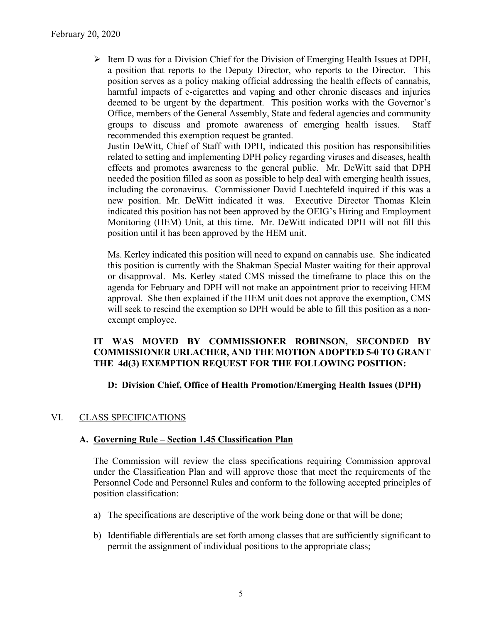$\triangleright$  Item D was for a Division Chief for the Division of Emerging Health Issues at DPH, a position that reports to the Deputy Director, who reports to the Director. This position serves as a policy making official addressing the health effects of cannabis, harmful impacts of e-cigarettes and vaping and other chronic diseases and injuries deemed to be urgent by the department. This position works with the Governor's Office, members of the General Assembly, State and federal agencies and community groups to discuss and promote awareness of emerging health issues. Staff recommended this exemption request be granted.

Justin DeWitt, Chief of Staff with DPH, indicated this position has responsibilities related to setting and implementing DPH policy regarding viruses and diseases, health effects and promotes awareness to the general public. Mr. DeWitt said that DPH needed the position filled as soon as possible to help deal with emerging health issues, including the coronavirus. Commissioner David Luechtefeld inquired if this was a new position. Mr. DeWitt indicated it was. Executive Director Thomas Klein indicated this position has not been approved by the OEIG's Hiring and Employment Monitoring (HEM) Unit, at this time. Mr. DeWitt indicated DPH will not fill this position until it has been approved by the HEM unit.

Ms. Kerley indicated this position will need to expand on cannabis use. She indicated this position is currently with the Shakman Special Master waiting for their approval or disapproval. Ms. Kerley stated CMS missed the timeframe to place this on the agenda for February and DPH will not make an appointment prior to receiving HEM approval. She then explained if the HEM unit does not approve the exemption, CMS will seek to rescind the exemption so DPH would be able to fill this position as a nonexempt employee.

# **IT WAS MOVED BY COMMISSIONER ROBINSON, SECONDED BY COMMISSIONER URLACHER, AND THE MOTION ADOPTED 5-0 TO GRANT THE 4d(3) EXEMPTION REQUEST FOR THE FOLLOWING POSITION:**

# **D: Division Chief, Office of Health Promotion/Emerging Health Issues (DPH)**

# VI. CLASS SPECIFICATIONS

### **A. Governing Rule – Section 1.45 Classification Plan**

The Commission will review the class specifications requiring Commission approval under the Classification Plan and will approve those that meet the requirements of the Personnel Code and Personnel Rules and conform to the following accepted principles of position classification:

- a) The specifications are descriptive of the work being done or that will be done;
- b) Identifiable differentials are set forth among classes that are sufficiently significant to permit the assignment of individual positions to the appropriate class;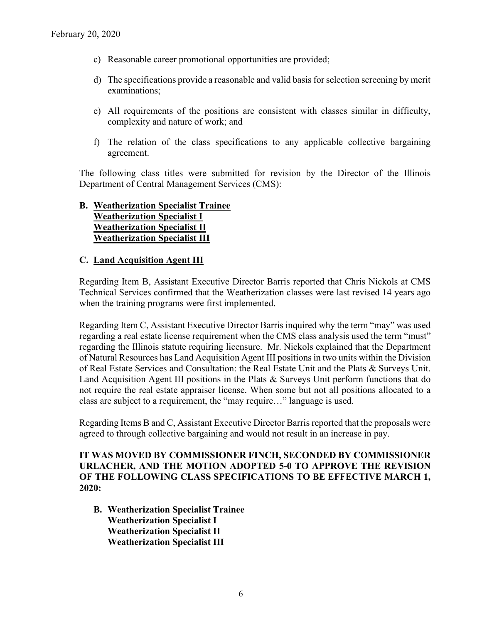- c) Reasonable career promotional opportunities are provided;
- d) The specifications provide a reasonable and valid basis for selection screening by merit examinations;
- e) All requirements of the positions are consistent with classes similar in difficulty, complexity and nature of work; and
- f) The relation of the class specifications to any applicable collective bargaining agreement.

The following class titles were submitted for revision by the Director of the Illinois Department of Central Management Services (CMS):

# **B. Weatherization Specialist Trainee Weatherization Specialist I Weatherization Specialist II Weatherization Specialist III**

## **C. Land Acquisition Agent III**

Regarding Item B, Assistant Executive Director Barris reported that Chris Nickols at CMS Technical Services confirmed that the Weatherization classes were last revised 14 years ago when the training programs were first implemented.

Regarding Item C, Assistant Executive Director Barris inquired why the term "may" was used regarding a real estate license requirement when the CMS class analysis used the term "must" regarding the Illinois statute requiring licensure. Mr. Nickols explained that the Department of Natural Resources has Land Acquisition Agent III positions in two units within the Division of Real Estate Services and Consultation: the Real Estate Unit and the Plats & Surveys Unit. Land Acquisition Agent III positions in the Plats & Surveys Unit perform functions that do not require the real estate appraiser license. When some but not all positions allocated to a class are subject to a requirement, the "may require…" language is used.

Regarding Items B and C, Assistant Executive Director Barris reported that the proposals were agreed to through collective bargaining and would not result in an increase in pay.

**IT WAS MOVED BY COMMISSIONER FINCH, SECONDED BY COMMISSIONER URLACHER, AND THE MOTION ADOPTED 5-0 TO APPROVE THE REVISION OF THE FOLLOWING CLASS SPECIFICATIONS TO BE EFFECTIVE MARCH 1, 2020:**

**B. Weatherization Specialist Trainee Weatherization Specialist I Weatherization Specialist II Weatherization Specialist III**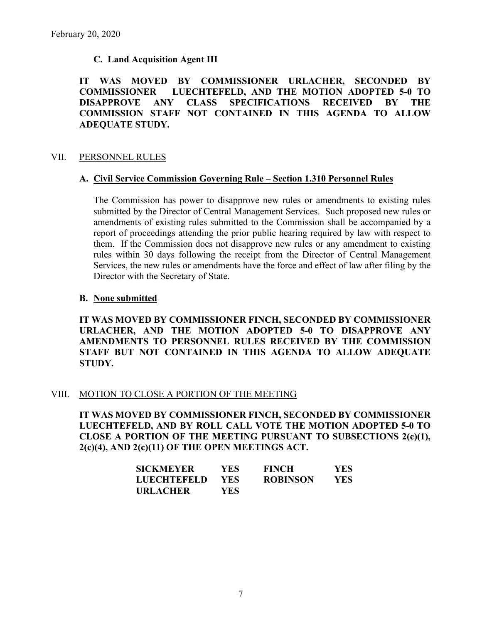# **C. Land Acquisition Agent III**

**IT WAS MOVED BY COMMISSIONER URLACHER, SECONDED BY COMMISSIONER LUECHTEFELD, AND THE MOTION ADOPTED 5-0 TO DISAPPROVE ANY CLASS SPECIFICATIONS RECEIVED BY THE COMMISSION STAFF NOT CONTAINED IN THIS AGENDA TO ALLOW ADEQUATE STUDY.** 

## VII. PERSONNEL RULES

## **A. Civil Service Commission Governing Rule – Section 1.310 Personnel Rules**

The Commission has power to disapprove new rules or amendments to existing rules submitted by the Director of Central Management Services. Such proposed new rules or amendments of existing rules submitted to the Commission shall be accompanied by a report of proceedings attending the prior public hearing required by law with respect to them. If the Commission does not disapprove new rules or any amendment to existing rules within 30 days following the receipt from the Director of Central Management Services, the new rules or amendments have the force and effect of law after filing by the Director with the Secretary of State.

## **B. None submitted**

**IT WAS MOVED BY COMMISSIONER FINCH, SECONDED BY COMMISSIONER URLACHER, AND THE MOTION ADOPTED 5-0 TO DISAPPROVE ANY AMENDMENTS TO PERSONNEL RULES RECEIVED BY THE COMMISSION STAFF BUT NOT CONTAINED IN THIS AGENDA TO ALLOW ADEQUATE STUDY.** 

# VIII. MOTION TO CLOSE A PORTION OF THE MEETING

**IT WAS MOVED BY COMMISSIONER FINCH, SECONDED BY COMMISSIONER LUECHTEFELD, AND BY ROLL CALL VOTE THE MOTION ADOPTED 5-0 TO CLOSE A PORTION OF THE MEETING PURSUANT TO SUBSECTIONS 2(c)(1), 2(c)(4), AND 2(c)(11) OF THE OPEN MEETINGS ACT.**

| <b>SICKMEYER</b> | YES.       | <b>FINCH</b>    | YES.       |
|------------------|------------|-----------------|------------|
| LUECHTEFELD      | <b>YES</b> | <b>ROBINSON</b> | <b>YES</b> |
| URLACHER         | YES.       |                 |            |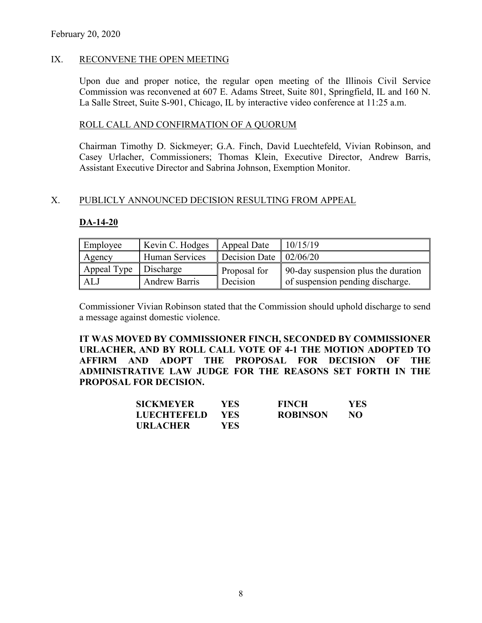### IX. RECONVENE THE OPEN MEETING

Upon due and proper notice, the regular open meeting of the Illinois Civil Service Commission was reconvened at 607 E. Adams Street, Suite 801, Springfield, IL and 160 N. La Salle Street, Suite S-901, Chicago, IL by interactive video conference at 11:25 a.m.

#### ROLL CALL AND CONFIRMATION OF A QUORUM

Chairman Timothy D. Sickmeyer; G.A. Finch, David Luechtefeld, Vivian Robinson, and Casey Urlacher, Commissioners; Thomas Klein, Executive Director, Andrew Barris, Assistant Executive Director and Sabrina Johnson, Exemption Monitor.

#### X. PUBLICLY ANNOUNCED DECISION RESULTING FROM APPEAL

#### **DA-14-20**

| Employee                | Kevin C. Hodges       | Appeal Date                          | 10/15/19                            |
|-------------------------|-----------------------|--------------------------------------|-------------------------------------|
| Agency                  | <b>Human Services</b> | Decision Date $\vert 02/06/20 \vert$ |                                     |
| Appeal Type   Discharge |                       | Proposal for                         | 90-day suspension plus the duration |
| ALJ                     | <b>Andrew Barris</b>  | Decision                             | of suspension pending discharge.    |

Commissioner Vivian Robinson stated that the Commission should uphold discharge to send a message against domestic violence.

**IT WAS MOVED BY COMMISSIONER FINCH, SECONDED BY COMMISSIONER URLACHER, AND BY ROLL CALL VOTE OF 4-1 THE MOTION ADOPTED TO AFFIRM AND ADOPT THE PROPOSAL FOR DECISION OF THE ADMINISTRATIVE LAW JUDGE FOR THE REASONS SET FORTH IN THE PROPOSAL FOR DECISION.**

| <b>SICKMEYER</b>   | YES. | <b>FINCH</b>    | <b>YES</b> |
|--------------------|------|-----------------|------------|
| <b>LUECHTEFELD</b> | YES. | <b>ROBINSON</b> | NO         |
| <b>URLACHER</b>    | YES  |                 |            |